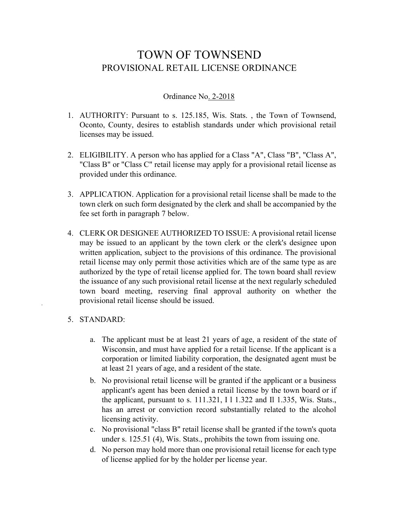## TOWN OF TOWNSEND PROVISIONAL RETAIL LICENSE ORDINANCE

## Ordinance No. 2-2018

- 1. AUTHORITY: Pursuant to s. 125.185, Wis. Stats. , the Town of Townsend, Oconto, County, desires to establish standards under which provisional retail licenses may be issued.
- 2. ELIGIBILITY. A person who has applied for a Class "A", Class "B", "Class A", "Class B" or "Class C" retail license may apply for a provisional retail license as provided under this ordinance.
- 3. APPLICATION. Application for a provisional retail license shall be made to the town clerk on such form designated by the clerk and shall be accompanied by the fee set forth in paragraph 7 below.
- 4. CLERK OR DESIGNEE AUTHORIZED TO ISSUE: A provisional retail license may be issued to an applicant by the town clerk or the clerk's designee upon written application, subject to the provisions of this ordinance. The provisional retail license may only permit those activities which are of the same type as are authorized by the type of retail license applied for. The town board shall review the issuance of any such provisional retail license at the next regularly scheduled town board meeting, reserving final approval authority on whether the provisional retail license should be issued.

## 5. STANDARD:

- a. The applicant must be at least 21 years of age, a resident of the state of Wisconsin, and must have applied for a retail license. If the applicant is a corporation or limited liability corporation, the designated agent must be at least 21 years of age, and a resident of the state.
- b. No provisional retail license will be granted if the applicant or a business applicant's agent has been denied a retail license by the town board or if the applicant, pursuant to s. 111.321, I l 1.322 and Il 1.335, Wis. Stats., has an arrest or conviction record substantially related to the alcohol licensing activity.
- c. No provisional "class B" retail license shall be granted if the town's quota under s. 125.51 (4), Wis. Stats., prohibits the town from issuing one.
- d. No person may hold more than one provisional retail license for each type of license applied for by the holder per license year.